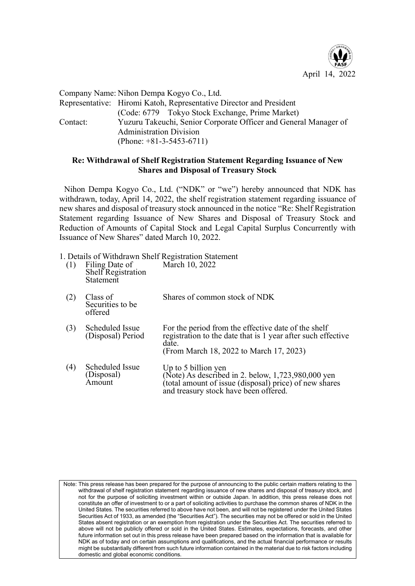

Company Name: Nihon Dempa Kogyo Co., Ltd. Representative: Hiromi Katoh, Representative Director and President (Code: 6779 Tokyo Stock Exchange, Prime Market) Contact: Yuzuru Takeuchi, Senior Corporate Officer and General Manager of Administration Division (Phone: +81-3-5453-6711)

## Re: Withdrawal of Shelf Registration Statement Regarding Issuance of New Shares and Disposal of Treasury Stock

Nihon Dempa Kogyo Co., Ltd. ("NDK" or "we") hereby announced that NDK has withdrawn, today, April 14, 2022, the shelf registration statement regarding issuance of new shares and disposal of treasury stock announced in the notice "Re: Shelf Registration Statement regarding Issuance of New Shares and Disposal of Treasury Stock and Reduction of Amounts of Capital Stock and Legal Capital Surplus Concurrently with Issuance of New Shares" dated March 10, 2022.

1. Details of Withdrawn Shelf Registration Statement

(1) Filing Date of Shelf Registration Statement March 10, 2022

| (2) | Class of<br>Securities to be<br>offered | Shares of common stock of NDK                                                                                                                                                |
|-----|-----------------------------------------|------------------------------------------------------------------------------------------------------------------------------------------------------------------------------|
| (3) | Scheduled Issue<br>(Disposal) Period    | For the period from the effective date of the shelf<br>registration to the date that is 1 year after such effective<br>date.<br>(From March 18, 2022 to March 17, 2023)      |
| (4) | Scheduled Issue<br>(Disposal)<br>Amount | Up to 5 billion yen<br>(Note) As described in 2. below, 1,723,980,000 yen<br>(total amount of issue (disposal) price) of new shares<br>and treasury stock have been offered. |

Note: This press release has been prepared for the purpose of announcing to the public certain matters relating to the withdrawal of shelf registration statement regarding issuance of new shares and disposal of treasury stock, and not for the purpose of soliciting investment within or outside Japan. In addition, this press release does not constitute an offer of investment to or a part of soliciting activities to purchase the common shares of NDK in the United States. The securities referred to above have not been, and will not be registered under the United States Securities Act of 1933, as amended (the "Securities Act"). The securities may not be offered or sold in the United States absent registration or an exemption from registration under the Securities Act. The securities referred to above will not be publicly offered or sold in the United States. Estimates, expectations, forecasts, and other future information set out in this press release have been prepared based on the information that is available for NDK as of today and on certain assumptions and qualifications, and the actual financial performance or results might be substantially different from such future information contained in the material due to risk factors including domestic and global economic conditions.